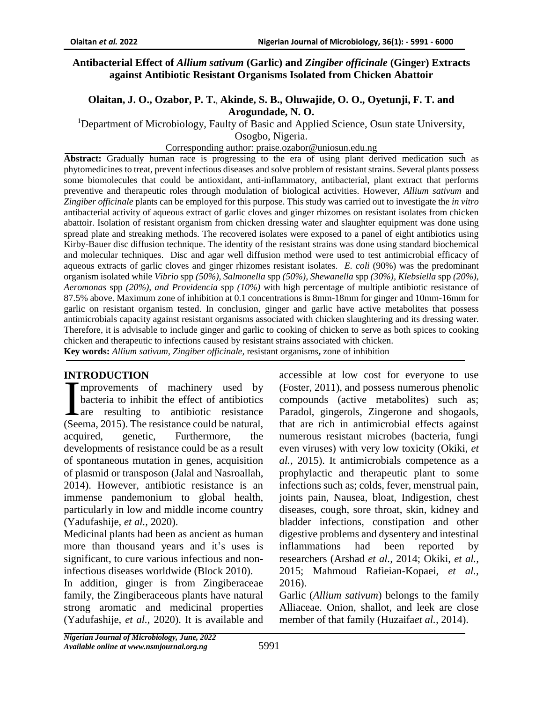#### **Antibacterial Effect of** *Allium sativum* **(Garlic) and** *Zingiber officinale* **(Ginger) Extracts against Antibiotic Resistant Organisms Isolated from Chicken Abattoir**

### **Olaitan, J. O., Ozabor, P. T., Akinde, S. B., Oluwajide, O. O., Oyetunji, F. T. and Arogundade, N. O.**

<sup>1</sup>Department of Microbiology, Faulty of Basic and Applied Science, Osun state University,

Osogbo, Nigeria.

Corresponding author: praise.ozabor@uniosun.edu.ng

**Abstract:** Gradually human race is progressing to the era of using plant derived medication such as phytomedicines to treat, prevent infectious diseases and solve problem of resistant strains. Several plants possess some biomolecules that could be antioxidant, anti-inflammatory, antibacterial, plant extract that performs preventive and therapeutic roles through modulation of biological activities. However, *Allium sativum* and *Zingiber officinale* plants can be employed for this purpose. This study was carried out to investigate the *in vitro* antibacterial activity of aqueous extract of garlic cloves and ginger rhizomes on resistant isolates from chicken abattoir. Isolation of resistant organism from chicken dressing water and slaughter equipment was done using spread plate and streaking methods. The recovered isolates were exposed to a panel of eight antibiotics using Kirby-Bauer disc diffusion technique. The identity of the resistant strains was done using standard biochemical and molecular techniques. Disc and agar well diffusion method were used to test antimicrobial efficacy of aqueous extracts of garlic cloves and ginger rhizomes resistant isolates. *E. coli* (90%) was the predominant organism isolated while *Vibrio* spp *(50%), Salmonella* spp *(50%), Shewanella* spp *(30%), Klebsiella* spp *(20%), Aeromonas* spp *(20%), and Providencia* spp *(10%)* with high percentage of multiple antibiotic resistance of 87.5% above. Maximum zone of inhibition at 0.1 concentrations is 8mm-18mm for ginger and 10mm-16mm for garlic on resistant organism tested. In conclusion, ginger and garlic have active metabolites that possess antimicrobials capacity against resistant organisms associated with chicken slaughtering and its dressing water. Therefore, it is advisable to include ginger and garlic to cooking of chicken to serve as both spices to cooking chicken and therapeutic to infections caused by resistant strains associated with chicken.

**Key words:** *Allium sativum*, *Zingiber officinale,* resistant organisms**,** zone of inhibition

# **INTRODUCTION**

mprovements of machinery used by bacteria to inhibit the effect of antibiotics Lare resulting to antibiotic resistance **EXECUTE:**<br>
mprovements of machinery used by<br>
bacteria to inhibit the effect of antibiotics<br>
are resulting to antibiotic resistance<br>
(Seema, 2015). The resistance could be natural, acquired, genetic, Furthermore, the developments of resistance could be as a result of spontaneous mutation in genes, acquisition of plasmid or transposon (Jalal and Nasroallah, 2014). However, antibiotic resistance is an immense pandemonium to global health, particularly in low and middle income country (Yadufashije, *et al.,* 2020).

Medicinal plants had been as ancient as human more than thousand years and it's uses is significant, to cure various infectious and noninfectious diseases worldwide (Block 2010).

In addition, ginger is from Zingiberaceae family, the Zingiberaceous plants have natural strong aromatic and medicinal properties (Yadufashije, *et al.,* 2020). It is available and accessible at low cost for everyone to use (Foster, 2011), and possess numerous phenolic compounds (active metabolites) such as; Paradol, gingerols, Zingerone and shogaols, that are rich in antimicrobial effects against numerous resistant microbes (bacteria, fungi even viruses) with very low toxicity (Okiki, *et al.,* 2015). It antimicrobials competence as a prophylactic and therapeutic plant to some infections such as; colds, fever, menstrual pain, joints pain, Nausea, bloat, Indigestion, chest diseases, cough, sore throat, skin, kidney and bladder infections, constipation and other digestive problems and dysentery and intestinal inflammations had been reported by researchers (Arshad *et al.,* 2014; Okiki, *et al.,* 2015; Mahmoud Rafieian-Kopaei, *et al.,* 2016).

Garlic (*Allium sativum*) belongs to the family Alliaceae. Onion, shallot, and leek are close member of that family (Huzaifa*et al.,* 2014).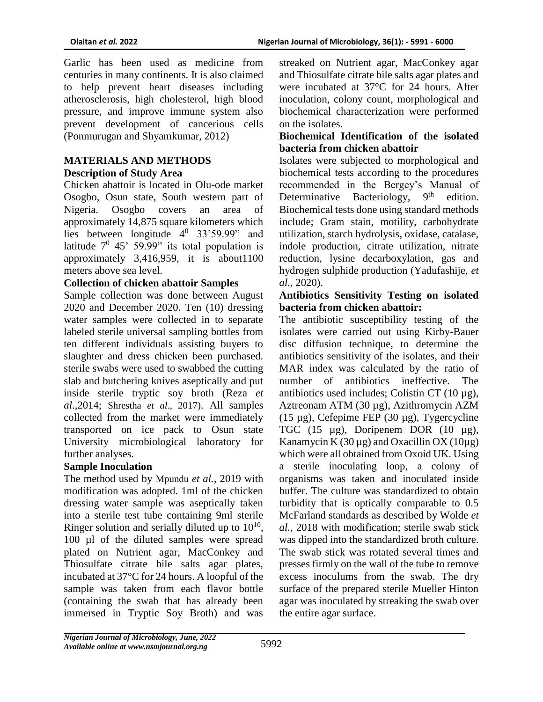Garlic has been used as medicine from centuries in many continents. It is also claimed to help prevent heart diseases including atherosclerosis, high cholesterol, high blood pressure, and improve immune system also prevent development of cancerious cells (Ponmurugan and Shyamkumar, 2012)

## **MATERIALS AND METHODS Description of Study Area**

Chicken abattoir is located in Olu-ode market Osogbo, Osun state, South western part of Nigeria. Osogbo covers an area of approximately 14,875 square kilometers which lies between longitude  $4^0$  33'59.99" and latitude  $7^0$  45' 59.99" its total population is approximately 3,416,959, it is about1100 meters above sea level.

# **Collection of chicken abattoir Samples**

Sample collection was done between August 2020 and December 2020. Ten (10) dressing water samples were collected in to separate labeled sterile universal sampling bottles from ten different individuals assisting buyers to slaughter and dress chicken been purchased. sterile swabs were used to swabbed the cutting slab and butchering knives aseptically and put inside sterile tryptic soy broth (Reza *et al*.,2014; Shrestha *et al*., 2017). All samples collected from the market were immediately transported on ice pack to Osun state University microbiological laboratory for further analyses.

### **Sample Inoculation**

The method used by Mpundu *et al.,* 2019 with modification was adopted. 1ml of the chicken dressing water sample was aseptically taken into a sterile test tube containing 9ml sterile Ringer solution and serially diluted up to  $10^{10}$ , 100 µl of the diluted samples were spread plated on Nutrient agar, MacConkey and Thiosulfate citrate bile salts agar plates, incubated at 37°C for 24 hours. A loopful of the sample was taken from each flavor bottle (containing the swab that has already been immersed in Tryptic Soy Broth) and was

streaked on Nutrient agar, MacConkey agar and Thiosulfate citrate bile salts agar plates and were incubated at 37°C for 24 hours. After inoculation, colony count, morphological and biochemical characterization were performed on the isolates.

### **Biochemical Identification of the isolated bacteria from chicken abattoir**

Isolates were subjected to morphological and biochemical tests according to the procedures recommended in the Bergey's Manual of Determinative Bacteriology,  $9<sup>th</sup>$  edition. Biochemical tests done using standard methods include; Gram stain, motility, carbohydrate utilization, starch hydrolysis, oxidase, catalase, indole production, citrate utilization, nitrate reduction, lysine decarboxylation, gas and hydrogen sulphide production (Yadufashije, *et al.,* 2020).

#### **Antibiotics Sensitivity Testing on isolated bacteria from chicken abattoir:**

The antibiotic susceptibility testing of the isolates were carried out using Kirby-Bauer disc diffusion technique, to determine the antibiotics sensitivity of the isolates, and their MAR index was calculated by the ratio of number of antibiotics ineffective. The antibiotics used includes; Colistin CT (10 µg), Aztreonam ATM (30 µg), Azithromycin AZM (15 µg), Cefepime FEP (30 µg), Tygercycline TGC (15 µg), Doripenem DOR (10 µg), Kanamycin K (30  $\mu$ g) and Oxacillin OX (10 $\mu$ g) which were all obtained from Oxoid UK. Using a sterile inoculating loop, a colony of organisms was taken and inoculated inside buffer. The culture was standardized to obtain turbidity that is optically comparable to 0.5 McFarland standards as described by Wolde *et al.,* 2018 with modification; sterile swab stick was dipped into the standardized broth culture. The swab stick was rotated several times and presses firmly on the wall of the tube to remove excess inoculums from the swab. The dry surface of the prepared sterile Mueller Hinton agar was inoculated by streaking the swab over the entire agar surface.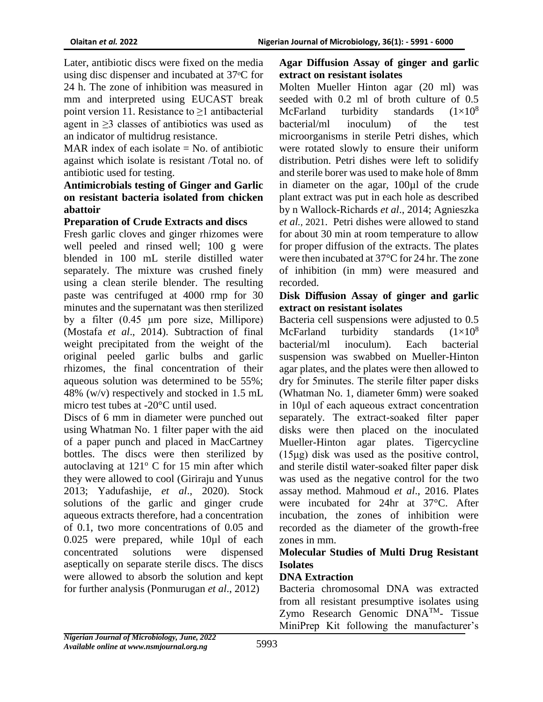Later, antibiotic discs were fixed on the media using disc dispenser and incubated at  $37^{\circ}$ C for 24 h. The zone of inhibition was measured in mm and interpreted using EUCAST break point version 11. Resistance to  $\geq 1$  antibacterial agent in ≥3 classes of antibiotics was used as an indicator of multidrug resistance.

MAR index of each isolate  $=$  No. of antibiotic against which isolate is resistant /Total no. of antibiotic used for testing.

### **Antimicrobials testing of Ginger and Garlic on resistant bacteria isolated from chicken abattoir**

# **Preparation of Crude Extracts and discs**

Fresh garlic cloves and ginger rhizomes were well peeled and rinsed well; 100 g were blended in 100 mL sterile distilled water separately. The mixture was crushed finely using a clean sterile blender. The resulting paste was centrifuged at 4000 rmp for 30 minutes and the supernatant was then sterilized by a filter (0.45 μm pore size, Millipore) (Mostafa *et al*., 2014). Subtraction of final weight precipitated from the weight of the original peeled garlic bulbs and garlic rhizomes, the final concentration of their aqueous solution was determined to be 55%; 48% (w/v) respectively and stocked in 1.5 mL micro test tubes at -20°C until used.

Discs of 6 mm in diameter were punched out using Whatman No. 1 filter paper with the aid of a paper punch and placed in MacCartney bottles. The discs were then sterilized by autoclaving at  $121^{\circ}$  C for 15 min after which they were allowed to cool (Giriraju and Yunus 2013; Yadufashije, *et al*., 2020). Stock solutions of the garlic and ginger crude aqueous extracts therefore, had a concentration of 0.1, two more concentrations of 0.05 and 0.025 were prepared, while 10µl of each concentrated solutions were dispensed aseptically on separate sterile discs. The discs were allowed to absorb the solution and kept for further analysis (Ponmurugan *et al*., 2012)

# **Agar Diffusion Assay of ginger and garlic extract on resistant isolates**

Molten Mueller Hinton agar (20 ml) was seeded with 0.2 ml of broth culture of 0.5 McFarland turbidity standards  $(1\times10^8)$ bacterial/ml inoculum) of the test microorganisms in sterile Petri dishes, which were rotated slowly to ensure their uniform distribution. Petri dishes were left to solidify and sterile borer was used to make hole of 8mm in diameter on the agar, 100µl of the crude plant extract was put in each hole as described by n Wallock-Richards *et al*., 2014; Agnieszka *et al.,* 2021. Petri dishes were allowed to stand for about 30 min at room temperature to allow for proper diffusion of the extracts. The plates were then incubated at 37°C for 24 hr. The zone of inhibition (in mm) were measured and recorded.

### **Disk Di**ff**usion Assay of ginger and garlic extract on resistant isolates**

Bacteria cell suspensions were adjusted to 0.5 McFarland turbidity standards  $(1\times10^8)$ bacterial/ml inoculum). Each bacterial suspension was swabbed on Mueller-Hinton agar plates, and the plates were then allowed to dry for 5minutes. The sterile filter paper disks (Whatman No. 1, diameter 6mm) were soaked in 10μl of each aqueous extract concentration separately. The extract-soaked filter paper disks were then placed on the inoculated Mueller-Hinton agar plates. Tigercycline (15μg) disk was used as the positive control, and sterile distil water-soaked filter paper disk was used as the negative control for the two assay method. Mahmoud *et al*., 2016. Plates were incubated for 24hr at 37°C. After incubation, the zones of inhibition were recorded as the diameter of the growth-free zones in mm.

### **Molecular Studies of Multi Drug Resistant Isolates**

# **DNA Extraction**

Bacteria chromosomal DNA was extracted from all resistant presumptive isolates using Zymo Research Genomic  $DNA^{TM}$ - Tissue MiniPrep Kit following the manufacturer's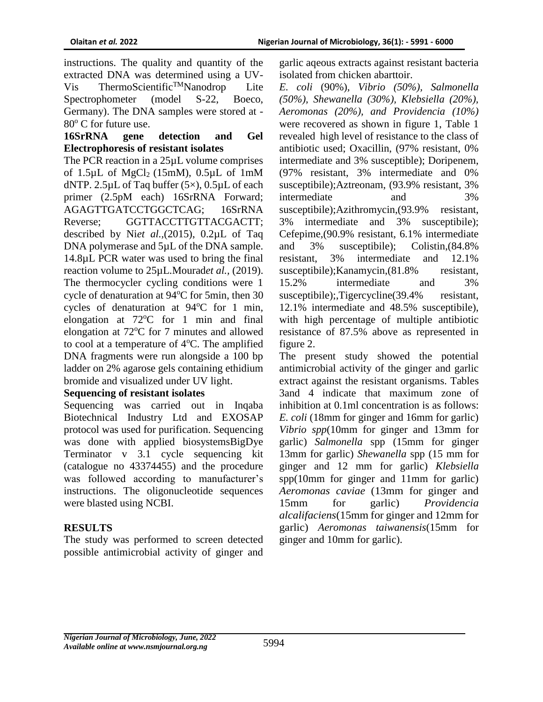instructions. The quality and quantity of the extracted DNA was determined using a UV-Vis ThermoScientific<sup>TM</sup>Nanodrop Lite Spectrophometer (model S-22, Boeco, Germany). The DNA samples were stored at -  $80^{\circ}$  C for future use.

### **16SrRNA gene detection and Gel Electrophoresis of resistant isolates**

The PCR reaction in a 25µL volume comprises of  $1.5\mu$ L of MgCl<sub>2</sub> (15mM),  $0.5\mu$ L of 1mM dNTP. 2.5 $\mu$ L of Taq buffer (5 $\times$ ), 0.5 $\mu$ L of each primer (2.5pM each) 16SrRNA Forward; AGAGTTGATCCTGGCTCAG; 16SrRNA Reverse; GGTTACCTTGTTACGACTT; described by Ni*et al.,*(2015), 0.2µL of Taq DNA polymerase and 5µL of the DNA sample. 14.8µL PCR water was used to bring the final reaction volume to 25µL.Mourad*et al.,* (2019). The thermocycler cycling conditions were 1 cycle of denaturation at  $94^{\circ}$ C for 5min, then 30 cycles of denaturation at  $94^{\circ}$ C for 1 min, elongation at  $72^{\circ}$ C for 1 min and final elongation at  $72^{\circ}$ C for 7 minutes and allowed to cool at a temperature of  $4^{\circ}$ C. The amplified DNA fragments were run alongside a 100 bp ladder on 2% agarose gels containing ethidium bromide and visualized under UV light.

### **Sequencing of resistant isolates**

Sequencing was carried out in Inqaba Biotechnical Industry Ltd and EXOSAP protocol was used for purification. Sequencing was done with applied biosystemsBigDye Terminator v 3.1 cycle sequencing kit (catalogue no 43374455) and the procedure was followed according to manufacturer's instructions. The oligonucleotide sequences were blasted using NCBI.

# **RESULTS**

The study was performed to screen detected possible antimicrobial activity of ginger and

garlic aqeous extracts against resistant bacteria isolated from chicken abarttoir.

*E. coli* (90%)*, Vibrio (50%), Salmonella (50%), Shewanella (30%), Klebsiella (20%), Aeromonas (20%), and Providencia (10%)* were recovered as shown in figure 1, Table 1 revealed high level of resistance to the class of antibiotic used; Oxacillin, (97% resistant, 0% intermediate and 3% susceptible); Doripenem, (97% resistant, 3% intermediate and 0% susceptibile);Aztreonam, (93.9% resistant, 3% intermediate and 3% susceptibile); Azithromycin, (93.9% resistant, 3% intermediate and 3% susceptibile); Cefepime,(90.9% resistant, 6.1% intermediate and 3% susceptibile); Colistin,(84.8% resistant, 3% intermediate and 12.1% susceptibile);Kanamycin,  $(81.8\%$  resistant, 15.2% intermediate and 3% susceptibile); Tigercycline(39.4% resistant, 12.1% intermediate and 48.5% susceptibile), with high percentage of multiple antibiotic resistance of 87.5% above as represented in figure 2.

The present study showed the potential antimicrobial activity of the ginger and garlic extract against the resistant organisms. Tables 3and 4 indicate that maximum zone of inhibition at 0.1ml concentration is as follows: *E. coli* (18mm for ginger and 16mm for garlic) *Vibrio spp*(10mm for ginger and 13mm for garlic) *Salmonella* spp (15mm for ginger 13mm for garlic) *Shewanella* spp (15 mm for ginger and 12 mm for garlic) *Klebsiella* spp(10mm for ginger and 11mm for garlic) *Aeromonas caviae* (13mm for ginger and 15mm for garlic) *Providencia alcalifaciens*(15mm for ginger and 12mm for garlic) *Aeromonas taiwanensis*(15mm for ginger and 10mm for garlic).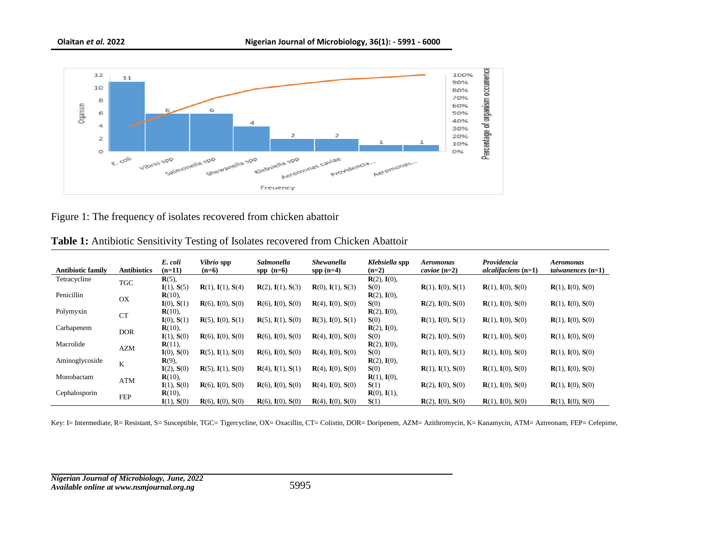

Figure 1: The frequency of isolates recovered from chicken abattoir

|                          |                    | E. coli           | <i>Vibrio</i> spp        | Salmonella               | <b>Shewanella</b>        | Klebsiella spp | <b>Aeromonas</b>   | Providencia             | <b>Aeromonas</b>    |
|--------------------------|--------------------|-------------------|--------------------------|--------------------------|--------------------------|----------------|--------------------|-------------------------|---------------------|
| <b>Antibiotic family</b> | <b>Antibiotics</b> | $(n=11)$          | $(n=6)$                  | $spp$ (n=6)              | $spp(n=4)$               | $(n=2)$        | caviae $(n=2)$     | $alcalifications (n=1)$ | taiwanences $(n=1)$ |
| Tetracycline             | <b>TGC</b>         | $R(5)$ ,          |                          |                          |                          | $R(2), I(0),$  |                    |                         |                     |
|                          |                    | I(1), S(5)        | R(1), I(1), S(4)         | $R(2)$ , $I(1)$ , $S(3)$ | $R(0), I(1), S(3)$       | S(0)           | $R(1), I(0), S(1)$ | $R(1), I(0), S(0)$      | $R(1), I(0), S(0)$  |
| Penicillin               | OX                 | $R(10)$ ,         |                          |                          |                          | $R(2), I(0),$  |                    |                         |                     |
|                          |                    | I(0), S(1)        | $R(6)$ , $I(0)$ , $S(0)$ | $R(6)$ , $I(0)$ , $S(0)$ | $R(4)$ , $I(0)$ , $S(0)$ | S(0)           | $R(2), I(0), S(0)$ | $R(1), I(0), S(0)$      | $R(1), I(0), S(0)$  |
| Polymyxin                | <b>CT</b>          | $R(10)$ ,         |                          |                          |                          | $R(2), I(0),$  |                    |                         |                     |
|                          |                    | I(0), S(1)        | $R(5)$ , $I(0)$ , $S(1)$ | $R(5)$ , $I(1)$ , $S(0)$ | $R(3), I(0), S(1)$       | S(0)           | $R(1), I(0), S(1)$ | $R(1), I(0), S(0)$      | $R(1), I(0), S(0)$  |
| Carbapenem               | <b>DOR</b>         | $R(10)$ ,         |                          |                          |                          | $R(2), I(0),$  |                    |                         |                     |
|                          |                    | I(1), S(0)        | $R(6)$ , $I(0)$ , $S(0)$ | $R(6)$ , $I(0)$ , $S(0)$ | $R(4)$ , $I(0)$ , $S(0)$ | S(0)           | $R(2), I(0), S(0)$ | $R(1), I(0), S(0)$      | $R(1), I(0), S(0)$  |
| Macrolide                |                    | $R(11),$          |                          |                          |                          | $R(2), I(0),$  |                    |                         |                     |
|                          | AZM                | I(0), S(0)        | $R(5)$ , $I(1)$ , $S(0)$ | $R(6)$ , $I(0)$ , $S(0)$ | $R(4)$ , $I(0)$ , $S(0)$ | S(0)           | $R(1), I(0), S(1)$ | $R(1), I(0), S(0)$      | $R(1), I(0), S(0)$  |
| Aminoglycoside           |                    | $\mathbf{R}(9)$ , |                          |                          |                          | $R(2), I(0),$  |                    |                         |                     |
|                          | K                  | I(2), S(0)        | $R(5)$ , $I(1)$ , $S(0)$ | $R(4), I(1), S(1)$       | $R(4)$ , $I(0)$ , $S(0)$ | S(0)           | $R(1), I(1), S(0)$ | $R(1), I(0), S(0)$      | $R(1), I(0), S(0)$  |
| Monobactam               |                    | $R(10)$ ,         |                          |                          |                          | $R(1), I(0),$  |                    |                         |                     |
|                          | ATM                | I(1), S(0)        | $R(6)$ , $I(0)$ , $S(0)$ | $R(6)$ , $I(0)$ , $S(0)$ | $R(4)$ , $I(0)$ , $S(0)$ | S(1)           | $R(2), I(0), S(0)$ | $R(1), I(0), S(0)$      | $R(1), I(0), S(0)$  |
| Cephalosporin            | <b>FEP</b>         | $R(10)$ ,         |                          |                          |                          | $R(0), I(1),$  |                    |                         |                     |
|                          |                    | I(1), S(0)        | $R(6)$ , $I(0)$ , $S(0)$ | $R(6)$ , $I(0)$ , $S(0)$ | $R(4)$ , $I(0)$ , $S(0)$ | S(1)           | $R(2), I(0), S(0)$ | $R(1), I(0), S(0)$      | $R(1), I(0), S(0)$  |

**Table 1:** Antibiotic Sensitivity Testing of Isolates recovered from Chicken Abattoir

Key: I= Intermediate, R= Resistant, S= Susceptible, TGC= Tigercycline, OX= Oxacillin, CT= Colistin, DOR= Doripenem, AZM= Azithromycin, K= Kanamycin, ATM= Aztreonam, FEP= Cefepime,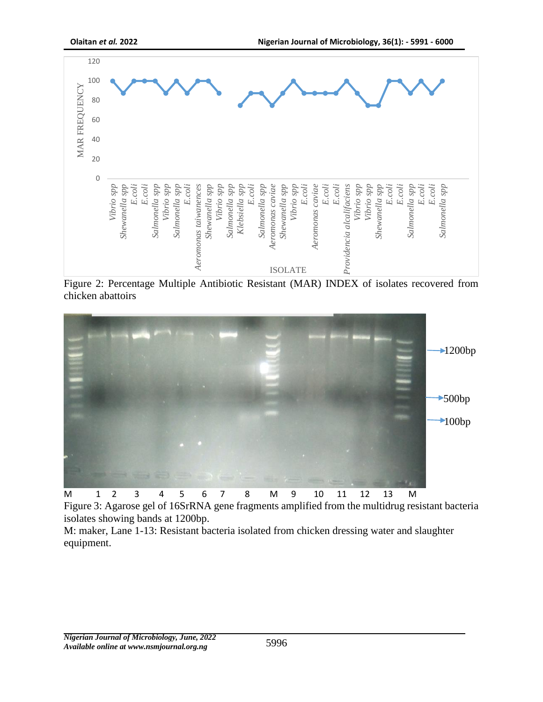

Figure 2: Percentage Multiple Antibiotic Resistant (MAR) INDEX of isolates recovered from chicken abattoirs



Figure 3: Agarose gel of 16SrRNA gene fragments amplified from the multidrug resistant bacteria isolates showing bands at 1200bp.

M: maker, Lane 1-13: Resistant bacteria isolated from chicken dressing water and slaughter equipment.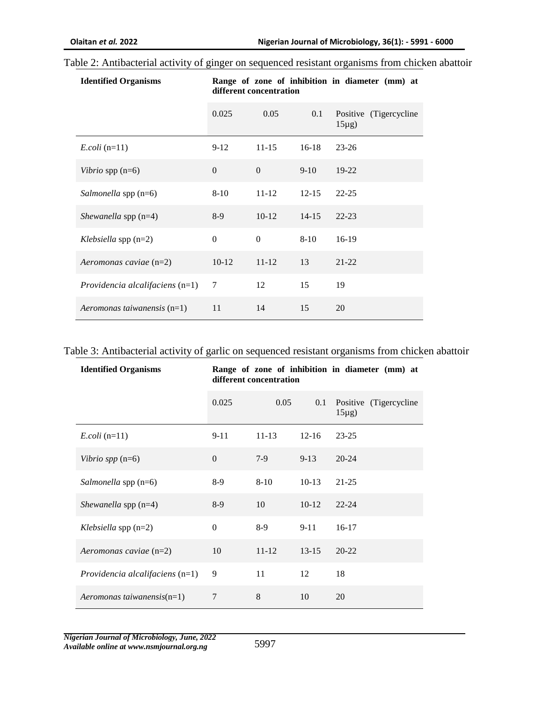#### Table 2: Antibacterial activity of ginger on sequenced resistant organisms from chicken abattoir

| <b>Identified Organisms</b>       | Range of zone of inhibition in diameter (mm) at<br>different concentration |           |           |                                       |  |  |
|-----------------------------------|----------------------------------------------------------------------------|-----------|-----------|---------------------------------------|--|--|
|                                   | 0.025                                                                      | 0.05      | 0.1       | Positive (Tigercycline<br>$15\mu g$ ) |  |  |
| $E. coli$ (n=11)                  | $9-12$                                                                     | $11 - 15$ | $16-18$   | $23 - 26$                             |  |  |
| Vibrio spp $(n=6)$                | $\theta$                                                                   | $\Omega$  | $9-10$    | $19-22$                               |  |  |
| Salmonella spp (n=6)              | $8 - 10$                                                                   | $11 - 12$ | $12 - 15$ | $22 - 25$                             |  |  |
| Shewanella spp $(n=4)$            | 8-9                                                                        | $10-12$   | $14 - 15$ | $22 - 23$                             |  |  |
| Klebsiella spp $(n=2)$            | $\mathbf{0}$                                                               | $\Omega$  | $8 - 10$  | $16-19$                               |  |  |
| Aeromonas caviae (n=2)            | $10-12$                                                                    | $11 - 12$ | 13        | $21 - 22$                             |  |  |
| Providencia alcalifaciens $(n=1)$ | 7                                                                          | 12        | 15        | 19                                    |  |  |
| Aeromonas taiwanensis $(n=1)$     | 11                                                                         | 14        | 15        | 20                                    |  |  |

# Table 3: Antibacterial activity of garlic on sequenced resistant organisms from chicken abattoir

| <b>Identified Organisms</b>       | Range of zone of inhibition in diameter (mm) at<br>different concentration |           |           |                                       |  |  |
|-----------------------------------|----------------------------------------------------------------------------|-----------|-----------|---------------------------------------|--|--|
|                                   | 0.025                                                                      | 0.05      | 0.1       | Positive (Tigercycline<br>$15\mu g$ ) |  |  |
| $E. coli$ (n=11)                  | $9 - 11$                                                                   | $11 - 13$ | $12 - 16$ | $23 - 25$                             |  |  |
| Vibrio spp $(n=6)$                | $\Omega$                                                                   | $7-9$     | $9 - 13$  | $20 - 24$                             |  |  |
| Salmonella spp (n=6)              | $8-9$                                                                      | $8 - 10$  | $10-13$   | $21 - 25$                             |  |  |
| Shewanella spp $(n=4)$            | $8-9$                                                                      | 10        | $10-12$   | $22 - 24$                             |  |  |
| Klebsiella spp $(n=2)$            | $\mathbf{0}$                                                               | $8-9$     | $9 - 11$  | $16-17$                               |  |  |
| Aeromonas caviae (n=2)            | 10                                                                         | $11 - 12$ | $13 - 15$ | $20 - 22$                             |  |  |
| Providencia alcalifaciens $(n=1)$ | 9                                                                          | 11        | 12        | 18                                    |  |  |
| $Aeromonas taiwanensis(n=1)$      | 7                                                                          | 8         | 10        | 20                                    |  |  |

*Nigerian Journal of Microbiology, June, 2022 Available online at www.nsmjournal.org.ng*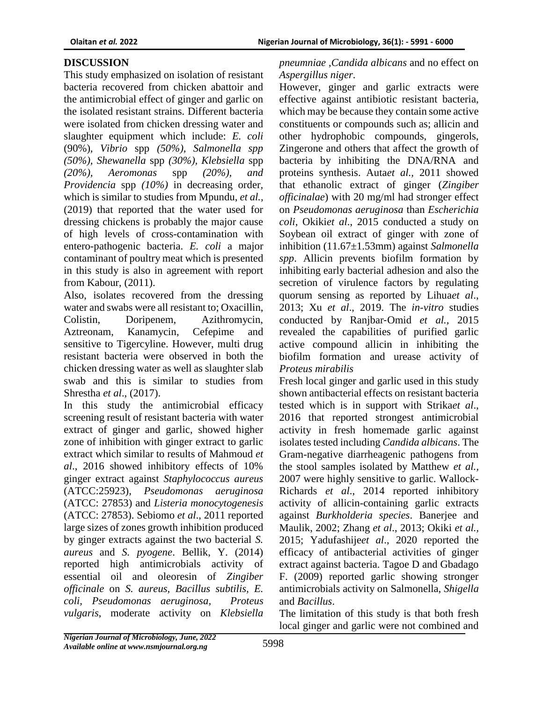# **DISCUSSION**

This study emphasized on isolation of resistant bacteria recovered from chicken abattoir and the antimicrobial effect of ginger and garlic on the isolated resistant strains. Different bacteria were isolated from chicken dressing water and slaughter equipment which include: *E. coli*  (90%)*, Vibrio* spp *(50%), Salmonella spp (50%), Shewanella* spp *(30%), Klebsiella* spp *(20%), Aeromonas* spp *(20%), and Providencia* spp *(10%)* in decreasing order*,*  which is similar to studies from Mpundu, *et al.,*  (2019) that reported that the water used for dressing chickens is probably the major cause of high levels of cross-contamination with entero-pathogenic bacteria. *E. coli* a major contaminant of poultry meat which is presented in this study is also in agreement with report from Kabour, (2011).

Also, isolates recovered from the dressing water and swabs were all resistant to; Oxacillin, Colistin, Doripenem, Azithromycin, Aztreonam, Kanamycin, Cefepime and sensitive to Tigercyline. However, multi drug resistant bacteria were observed in both the chicken dressing water as well as slaughter slab swab and this is similar to studies from Shrestha *et al*., (2017).

In this study the antimicrobial efficacy screening result of resistant bacteria with water extract of ginger and garlic, showed higher zone of inhibition with ginger extract to garlic extract which similar to results of Mahmoud *et al*., 2016 showed inhibitory effects of 10% ginger extract against *Staphylococcus aureus* (ATCC:25923), *Pseudomonas aeruginosa* (ATCC: 27853) and *Listeria monocytogenesis* (ATCC: 27853). Sebiomo *et al*., 2011 reported large sizes of zones growth inhibition produced by ginger extracts against the two bacterial *S. aureus* and *S. pyogene*. Bellik, Y. (2014) reported high antimicrobials activity of essential oil and oleoresin of *Zingiber officinale* on *S. aureus, Bacillus subtilis, E. coli, Pseudomonas aeruginosa, Proteus vulgaris*, moderate activity on *Klebsiella*

*pneumniae* ,*Candida albicans* and no effect on *Aspergillus niger*.

However, ginger and garlic extracts were effective against antibiotic resistant bacteria, which may be because they contain some active constituents or compounds such as; allicin and other hydrophobic compounds, gingerols, Zingerone and others that affect the growth of bacteria by inhibiting the DNA/RNA and proteins synthesis. Auta*et al.,* 2011 showed that ethanolic extract of ginger (*Zingiber officinalae*) with 20 mg/ml had stronger effect on *Pseudomonas aeruginosa* than *Escherichia coli*, Okiki*et al*., 2015 conducted a study on Soybean oil extract of ginger with zone of inhibition (11.67±1.53mm) against *Salmonella spp*. Allicin prevents biofilm formation by inhibiting early bacterial adhesion and also the secretion of virulence factors by regulating quorum sensing as reported by Lihua*et al*., 2013; Xu *et al*., 2019. The *in-vitro* studies conducted by Ranjbar‑Omid *et al.,* 2015 revealed the capabilities of purified garlic active compound allicin in inhibiting the biofilm formation and urease activity of *Proteus mirabilis*

Fresh local ginger and garlic used in this study shown antibacterial effects on resistant bacteria tested which is in support with Strika*et al*., 2016 that reported strongest antimicrobial activity in fresh homemade garlic against isolates tested including *Candida albicans*. The Gram-negative diarrheagenic pathogens from the stool samples isolated by Matthew *et al.,* 2007 were highly sensitive to garlic. Wallock-Richards *et al*., 2014 reported inhibitory activity of allicin-containing garlic extracts against *Burkholderia species*. Banerjee and Maulik, 2002; Zhang *et al*., 2013; Okiki *et al.,* 2015; Yadufashije*et al*., 2020 reported the efficacy of antibacterial activities of ginger extract against bacteria. Tagoe D and Gbadago F. (2009) reported garlic showing stronger antimicrobials activity on Salmonella, *Shigella* and *Bacillus*.

The limitation of this study is that both fresh local ginger and garlic were not combined and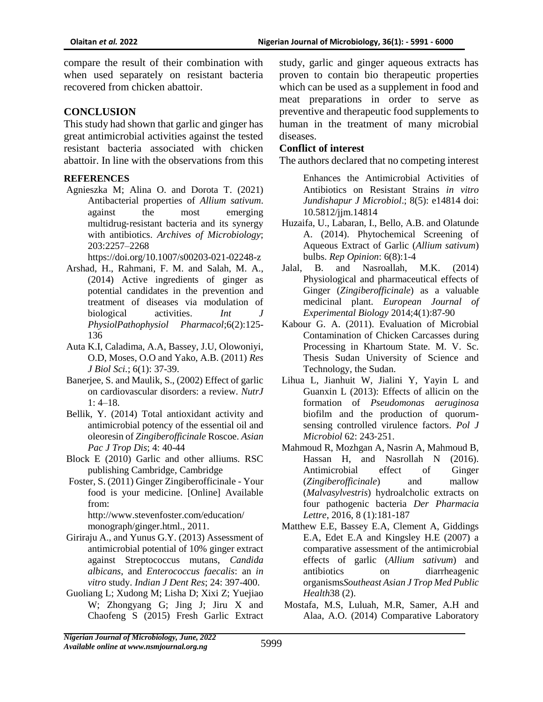compare the result of their combination with when used separately on resistant bacteria recovered from chicken abattoir.

#### **CONCLUSION**

This study had shown that garlic and ginger has great antimicrobial activities against the tested resistant bacteria associated with chicken abattoir. In line with the observations from this

#### **REFERENCES**

Agnieszka M; Alina O. and Dorota T. (2021) Antibacterial properties of *Allium sativum*. against the most emerging multidrug‑resistant bacteria and its synergy with antibiotics. *Archives of Microbiology*; 203:2257–2268

https://doi.org/10.1007/s00203-021-02248-z

- Arshad, H., Rahmani, F. M. and Salah, M. A., (2014) Active ingredients of ginger as potential candidates in the prevention and treatment of diseases via modulation of biological activities. *Int J PhysiolPathophysiol Pharmacol*;6(2):125- 136
- Auta K.I, Caladima, A.A, Bassey, J.U, Olowoniyi, O.D, Moses, O.O and Yako, A.B. (2011) *Res J Biol Sci.*; 6(1): 37-39.
- Banerjee, S. and Maulik, S., (2002) Effect of garlic on cardiovascular disorders: a review. *NutrJ*  $1: 4-18.$
- Bellik, Y. (2014) Total antioxidant activity and antimicrobial potency of the essential oil and oleoresin of *Zingiberofficinale* Roscoe. *Asian Pac J Trop Dis*; 4: 40-44
- Block E (2010) Garlic and other alliums. RSC publishing Cambridge, Cambridge
- Foster, S. (2011) Ginger Zingiberofficinale Your food is your medicine. [Online] Available from: http://www.stevenfoster.com/education/ monograph/ginger.html., 2011.
- Giriraju A., and Yunus G.Y. (2013) Assessment of antimicrobial potential of 10% ginger extract against Streptococcus mutans, *Candida albicans*, and *Enterococcus faecalis*: an *in vitro* study. *Indian J Dent Res*; 24: 397-400.
- Guoliang L; Xudong M; Lisha D; Xixi Z; Yuejiao W; Zhongyang G; Jing J; Jiru X and Chaofeng S (2015) Fresh Garlic Extract

study, garlic and ginger aqueous extracts has proven to contain bio therapeutic properties which can be used as a supplement in food and meat preparations in order to serve as preventive and therapeutic food supplements to human in the treatment of many microbial diseases.

#### **Conflict of interest**

The authors declared that no competing interest

Enhances the Antimicrobial Activities of Antibiotics on Resistant Strains *in vitro Jundishapur J Microbiol*.; 8(5): e14814 doi: 10.5812/jjm.14814

- Huzaifa, U., Labaran, I., Bello, A.B. and Olatunde A. (2014). Phytochemical Screening of Aqueous Extract of Garlic (*Allium sativum*) bulbs. *Rep Opinion*: 6(8):1-4
- Jalal, B. and Nasroallah, M.K. (2014) Physiological and pharmaceutical effects of Ginger (*Zingiberofficinale*) as a valuable medicinal plant. *European Journal of Experimental Biology* 2014;4(1):87-90
- Kabour G. A. (2011). Evaluation of Microbial Contamination of Chicken Carcasses during Processing in Khartoum State. M. V. Sc. Thesis Sudan University of Science and Technology, the Sudan.
- Lihua L, Jianhuit W, Jialini Y, Yayin L and Guanxin L (2013): Effects of allicin on the formation of *Pseudomonas aeruginosa* biofilm and the production of quorumsensing controlled virulence factors. *Pol J Microbiol* 62: 243‑251.
- Mahmoud R, Mozhgan A, Nasrin A, Mahmoud B, Hassan H, and Nasrollah N (2016). Antimicrobial effect of Ginger (*Zingiberofficinale*) and mallow (*Malvasylvestris*) hydroalcholic extracts on four pathogenic bacteria *Der Pharmacia Lettre*, 2016, 8 (1):181-187
- Matthew E.E, Bassey E.A, Clement A, Giddings E.A, Edet E.A and Kingsley H.E (2007) a comparative assessment of the antimicrobial effects of garlic (*Allium sativum*) and antibiotics on diarrheagenic organisms*Southeast Asian J Trop Med Public Health*38 (2).
- Mostafa, M.S, Luluah, M.R, Samer, A.H and Alaa, A.O. (2014) Comparative Laboratory